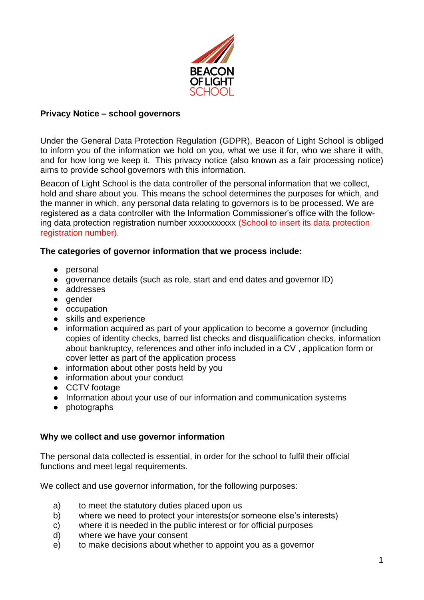

### **Privacy Notice – school governors**

Under the General Data Protection Regulation (GDPR), Beacon of Light School is obliged to inform you of the information we hold on you, what we use it for, who we share it with, and for how long we keep it. This privacy notice (also known as a fair processing notice) aims to provide school governors with this information.

Beacon of Light School is the data controller of the personal information that we collect, hold and share about you. This means the school determines the purposes for which, and the manner in which, any personal data relating to governors is to be processed. We are registered as a data controller with the Information Commissioner's office with the following data protection registration number xxxxxxxxxx (School to insert its data protection registration number).

### **The categories of governor information that we process include:**

- personal
- governance details (such as role, start and end dates and governor ID)
- addresses
- gender
- occupation
- skills and experience
- information acquired as part of your application to become a governor (including copies of identity checks, barred list checks and disqualification checks, information about bankruptcy, references and other info included in a CV , application form or cover letter as part of the application process
- information about other posts held by you
- information about your conduct
- CCTV footage
- Information about your use of our information and communication systems
- photographs

#### **Why we collect and use governor information**

The personal data collected is essential, in order for the school to fulfil their official functions and meet legal requirements.

We collect and use governor information, for the following purposes:

- a) to meet the statutory duties placed upon us
- b) where we need to protect your interests(or someone else's interests)
- c) where it is needed in the public interest or for official purposes
- d) where we have your consent
- e) to make decisions about whether to appoint you as a governor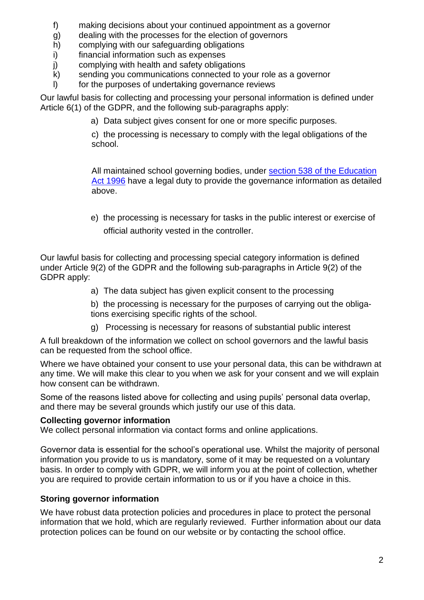- f) making decisions about your continued appointment as a governor
- g) dealing with the processes for the election of governors
- h) complying with our safeguarding obligations
- i) financial information such as expenses
- j) complying with health and safety obligations
- k) sending you communications connected to your role as a governor
- l) for the purposes of undertaking governance reviews

Our lawful basis for collecting and processing your personal information is defined under Article 6(1) of the GDPR, and the following sub-paragraphs apply:

a) Data subject gives consent for one or more specific purposes.

c) the processing is necessary to comply with the legal obligations of the school.

All maintained school governing bodies, under [section 538 of the Education](http://www.legislation.gov.uk/ukpga/1996/56/section/538)  [Act 1996](http://www.legislation.gov.uk/ukpga/1996/56/section/538) have a legal duty to provide the governance information as detailed above.

e) the processing is necessary for tasks in the public interest or exercise of official authority vested in the controller.

Our lawful basis for collecting and processing special category information is defined under Article 9(2) of the GDPR and the following sub-paragraphs in Article 9(2) of the GDPR apply:

- a) The data subject has given explicit consent to the processing
- b) the processing is necessary for the purposes of carrying out the obligations exercising specific rights of the school.
- g) Processing is necessary for reasons of substantial public interest

A full breakdown of the information we collect on school governors and the lawful basis can be requested from the school office.

Where we have obtained your consent to use your personal data, this can be withdrawn at any time. We will make this clear to you when we ask for your consent and we will explain how consent can be withdrawn.

Some of the reasons listed above for collecting and using pupils' personal data overlap, and there may be several grounds which justify our use of this data.

# **Collecting governor information**

We collect personal information via contact forms and online applications.

Governor data is essential for the school's operational use. Whilst the majority of personal information you provide to us is mandatory, some of it may be requested on a voluntary basis. In order to comply with GDPR, we will inform you at the point of collection, whether you are required to provide certain information to us or if you have a choice in this.

# **Storing governor information**

We have robust data protection policies and procedures in place to protect the personal information that we hold, which are regularly reviewed. Further information about our data protection polices can be found on our website or by contacting the school office.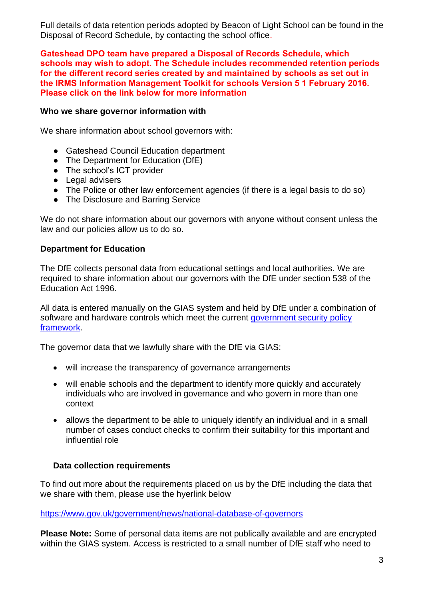Full details of data retention periods adopted by Beacon of Light School can be found in the Disposal of Record Schedule, by contacting the school office.

**Gateshead DPO team have prepared a Disposal of Records Schedule, which schools may wish to adopt. The Schedule includes recommended retention periods for the different record series created by and maintained by schools as set out in the IRMS Information Management Toolkit for schools Version 5 1 February 2016. Please click on the link below for more information** 

### **Who we share governor information with**

We share information about school governors with:

- Gateshead Council Education department
- The Department for Education (DfE)
- The school's ICT provider
- Legal advisers
- The Police or other law enforcement agencies (if there is a legal basis to do so)
- The Disclosure and Barring Service

We do not share information about our governors with anyone without consent unless the law and our policies allow us to do so.

### **Department for Education**

The DfE collects personal data from educational settings and local authorities. We are required to share information about our governors with the DfE under section 538 of the Education Act 1996.

All data is entered manually on the GIAS system and held by DfE under a combination of software and hardware controls which meet the current government security policy [framework.](https://www.gov.uk/government/publications/security-policy-framework)

The governor data that we lawfully share with the DfE via GIAS:

- will increase the transparency of governance arrangements
- will enable schools and the department to identify more quickly and accurately individuals who are involved in governance and who govern in more than one context
- allows the department to be able to uniquely identify an individual and in a small number of cases conduct checks to confirm their suitability for this important and influential role

## **Data collection requirements**

To find out more about the requirements placed on us by the DfE including the data that we share with them, please use the hyerlink below

<https://www.gov.uk/government/news/national-database-of-governors>

**Please Note:** Some of personal data items are not publically available and are encrypted within the GIAS system. Access is restricted to a small number of DfE staff who need to